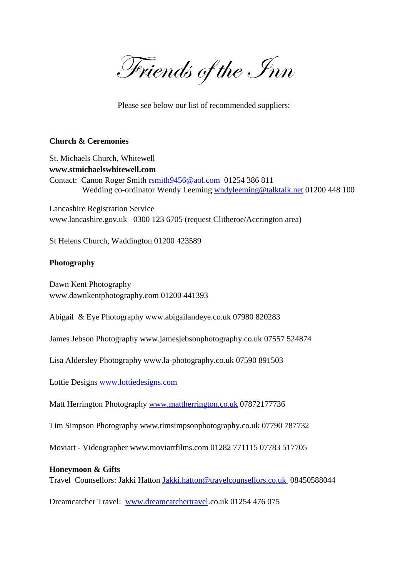Friends of the Inn

Please see below our list of recommended suppliers:

### **Church & Ceremonies**

St. Michaels Church, Whitewell **www.stmichaelswhitewell.com** Contact: Canon Roger Smith [rsmith9456@aol.com](mailto:rsmith9456@aol.com) 01254 386 811 Wedding co-ordinator Wendy Leeming [wndyleeming@talktalk.net](mailto:wndyleeming@talktalk.net) 01200 448 100

Lancashire Registration Service www.lancashire.gov.uk 0300 123 6705 (request Clitheroe/Accrington area)

St Helens Church, Waddington 01200 423589

#### **Photography**

Dawn Kent Photography www.dawnkentphotography.com 01200 441393

Abigail & Eye Photography www.abigailandeye.co.uk 07980 820283

James Jebson Photography www.jamesjebsonphotography.co.uk 07557 524874

Lisa Aldersley Photography www.la-photography.co.uk 07590 891503

Lottie Designs [www.lottiedesigns.com](http://www.lottiedesigns.com/)

Matt Herrington Photography [www.mattherrington.co.uk](http://www.mattherrington.co.uk/) 07872177736

Tim Simpson Photography www.timsimpsonphotography.co.uk 07790 787732

Moviart - Videographer www.moviartfilms.com 01282 771115 07783 517705

#### **Honeymoon & Gifts**

Travel Counsellors: Jakki Hatton [Jakki.hatton@travelcounsellors.co.uk](mailto:Jakki.hatton@travelcounsellors.co.uk) 08450588044

Dreamcatcher Travel: [www.dreamcatchertravel.](http://www.dreamcatchertravel/)co.uk 01254 476 075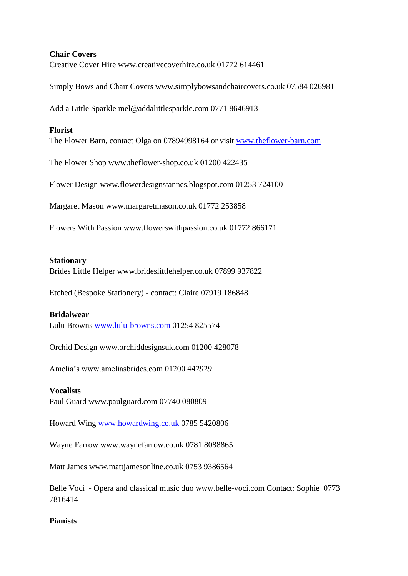## **Chair Covers**

Creative Cover Hire www.creativecoverhire.co.uk 01772 614461

Simply Bows and Chair Covers www.simplybowsandchaircovers.co.uk 07584 026981

Add a Little Sparkle mel@addalittlesparkle.com 0771 8646913

## **Florist**

The Flower Barn, contact Olga on 07894998164 or visit [www.theflower-barn.com](http://www.theflower-barn.com/)

The Flower Shop www.theflower-shop.co.uk 01200 422435

Flower Design www.flowerdesignstannes.blogspot.com 01253 724100

Margaret Mason www.margaretmason.co.uk 01772 253858

Flowers With Passion www.flowerswithpassion.co.uk 01772 866171

### **Stationary**

Brides Little Helper www.brideslittlehelper.co.uk 07899 937822

Etched (Bespoke Stationery) - contact: Claire 07919 186848

### **Bridalwear**

Lulu Browns [www.lulu-browns.com](http://www.lulu-browns.com/) 01254 825574

Orchid Design www.orchiddesignsuk.com 01200 428078

Amelia's www.ameliasbrides.com 01200 442929

### **Vocalists**

Paul Guard www.paulguard.com 07740 080809

Howard Wing [www.howardwing.co.uk](http://www.howardwing.co.uk/) 0785 5420806

Wayne Farrow www.waynefarrow.co.uk 0781 8088865

Matt James www.mattjamesonline.co.uk 0753 9386564

Belle Voci - Opera and classical music duo www.belle-voci.com Contact: Sophie 0773 7816414

# **Pianists**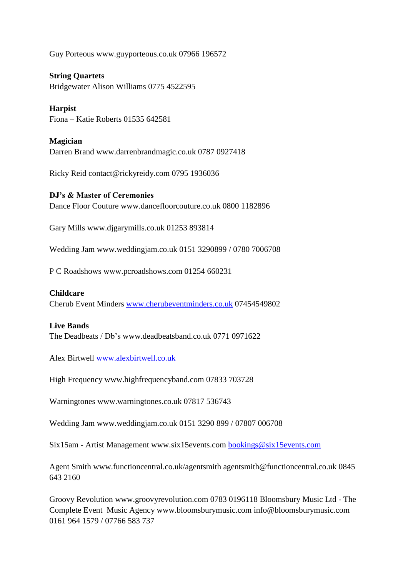Guy Porteous www.guyporteous.co.uk 07966 196572

**String Quartets** Bridgewater Alison Williams 0775 4522595

**Harpist** Fiona – Katie Roberts 01535 642581

**Magician** Darren Brand www.darrenbrandmagic.co.uk 0787 0927418

Ricky Reid contact@rickyreidy.com 0795 1936036

## **DJ's & Master of Ceremonies**

Dance Floor Couture www.dancefloorcouture.co.uk 0800 1182896

Gary Mills www.djgarymills.co.uk 01253 893814

Wedding Jam www.weddingjam.co.uk 0151 3290899 / 0780 7006708

P C Roadshows www.pcroadshows.com 01254 660231

### **Childcare**

Cherub Event Minders [www.cherubeventminders.co.uk](http://www.cherubeventminders.co.uk/) 07454549802

### **Live Bands**

The Deadbeats / Db's www.deadbeatsband.co.uk 0771 0971622

Alex Birtwell [www.alexbirtwell.co.uk](http://www.alexbirtwell.co.uk/)

High Frequency www.highfrequencyband.com 07833 703728

Warningtones www.warningtones.co.uk 07817 536743

Wedding Jam www.weddingjam.co.uk 0151 3290 899 / 07807 006708

Six15am - Artist Management www.six15events.com [bookings@six15events.com](mailto:bookings@six15events.com)

Agent Smith www.functioncentral.co.uk/agentsmith agentsmith@functioncentral.co.uk 0845 643 2160

Groovy Revolution www.groovyrevolution.com 0783 0196118 Bloomsbury Music Ltd - The Complete Event Music Agency www.bloomsburymusic.com info@bloomsburymusic.com 0161 964 1579 / 07766 583 737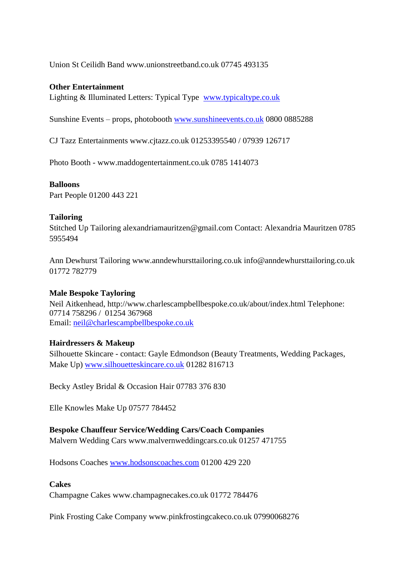Union St Ceilidh Band www.unionstreetband.co.uk 07745 493135

### **Other Entertainment**

Lighting & Illuminated Letters: Typical Type [www.typicaltype.co.uk](http://www.typicaltype.co.uk/)

Sunshine Events – props, photobooth [www.sunshineevents.co.uk](http://www.sunshineevents.co.uk/) 0800 0885288

CJ Tazz Entertainments www.cjtazz.co.uk 01253395540 / 07939 126717

Photo Booth - www.maddogentertainment.co.uk 0785 1414073

### **Balloons**

Part People 01200 443 221

## **Tailoring**

Stitched Up Tailoring alexandriamauritzen@gmail.com Contact: Alexandria Mauritzen 0785 5955494

Ann Dewhurst Tailoring www.anndewhursttailoring.co.uk info@anndewhursttailoring.co.uk 01772 782779

# **Male Bespoke Tayloring**

Neil Aitkenhead, http://www.charlescampbellbespoke.co.uk/about/index.html Telephone: 07714 758296 / 01254 367968 Email: [neil@charlescampbellbespoke.co.uk](mailto:neil@charlescampbellbespoke.co.uk)

# **Hairdressers & Makeup**

Silhouette Skincare - contact: Gayle Edmondson (Beauty Treatments, Wedding Packages, Make Up) [www.silhouetteskincare.co.uk](http://www.silhouetteskincare.co.uk/) 01282 816713

Becky Astley Bridal & Occasion Hair 07783 376 830

Elle Knowles Make Up 07577 784452

# **Bespoke Chauffeur Service/Wedding Cars/Coach Companies**

Malvern Wedding Cars www.malvernweddingcars.co.uk 01257 471755

Hodsons Coaches [www.hodsonscoaches.com](http://www.hodsonscoaches.com/) 01200 429 220

### **Cakes**

Champagne Cakes www.champagnecakes.co.uk 01772 784476

Pink Frosting Cake Company www.pinkfrostingcakeco.co.uk 07990068276